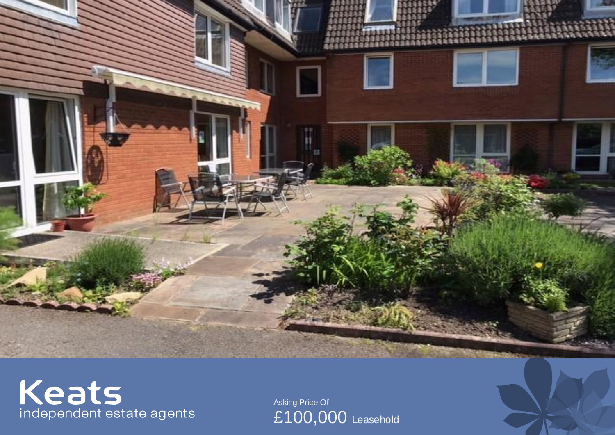

# Keats<br>independent estate agents

Asking Price Of £100,000 Leasehold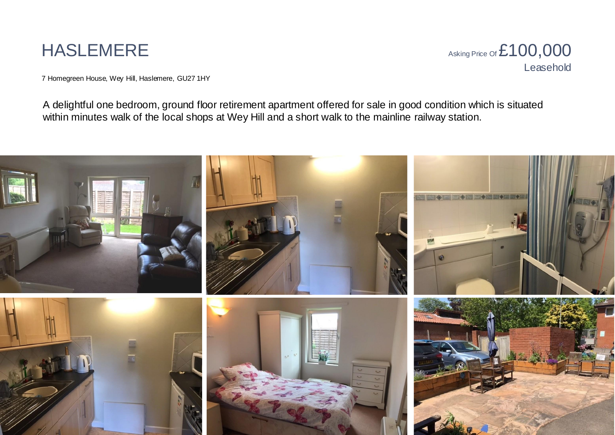## HASLEMERE

Asking Price of  $£100,000$ Leasehold

7 Homegreen House, Wey Hill, Haslemere, GU27 1HY

A delightful one bedroom, ground floor retirement apartment offered for sale in good condition which is situated within minutes walk of the local shops at Wey Hill and a short walk to the mainline railway station.

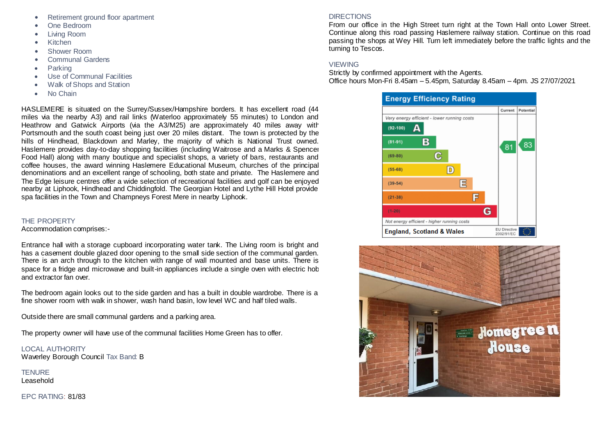- Retirement ground floor apartment
- One Bedroom
- Living Room
- Kitchen
- Shower Room
- Communal Gardens
- Parking
- Use of Communal Facilities
- Walk of Shops and Station
- No Chain

HASLEMERE is situated on the Surrey/Sussex/Hampshire borders. It has excellent road (44 miles via the nearby A3) and rail links (Waterloo approximately 55 minutes) to London and Heathrow and Gatwick Airports (via the A3/M25) are approximately 40 miles away with Portsmouth and the south coast being just over 20 miles distant. The town is protected by the hills of Hindhead, Blackdown and Marley, the majority of which is National Trust owned. Haslemere provides day-to-day shopping facilities (including Waitrose and a Marks & Spencer Food Hall) along with many boutique and specialist shops, a variety of bars, restaurants and coffee houses, the award winning Haslemere Educational Museum, churches of the principal denominations and an excellent range of schooling, both state and private. The Haslemere and The Edge leisure centres offer a wide selection of recreational facilities and golf can be enjoyed nearby at Liphook, Hindhead and Chiddingfold. The Georgian Hotel and Lythe Hill Hotel provide spa facilities in the Town and Champneys Forest Mere in nearby Liphook.

#### THE PROPERTY

Accommodation comprises:-

Entrance hall with a storage cupboard incorporating water tank. The Living room is bright and has a casement double glazed door opening to the small side section of the communal garden. There is an arch through to the kitchen with range of wall mounted and base units. There is space for a fridge and microwave and built-in appliances include a single oven with electric hob and extractor fan over.

The bedroom again looks out to the side garden and has a built in double wardrobe. There is a fine shower room with walk in shower, wash hand basin, low level WC and half tiled walls.

Outside there are small communal gardens and a parking area.

The property owner will have use of the communal facilities Home Green has to offer.

LOCAL AUTHORITY Waverley Borough Council Tax Band: B

**TENURE** Leasehold

EPC RATING: 81/83

#### DIRECTIONS

From our office in the High Street turn right at the Town Hall onto Lower Street. Continue along this road passing Haslemere railway station. Continue on this road passing the shops at Wey Hill. Turn left immediately before the traffic lights and the turning to Tescos.

#### **VIEWING**

Strictly by confirmed appointment with the Agents. Office hours Mon-Fri 8.45am – 5.45pm, Saturday 8.45am – 4pm. JS 27/07/2021